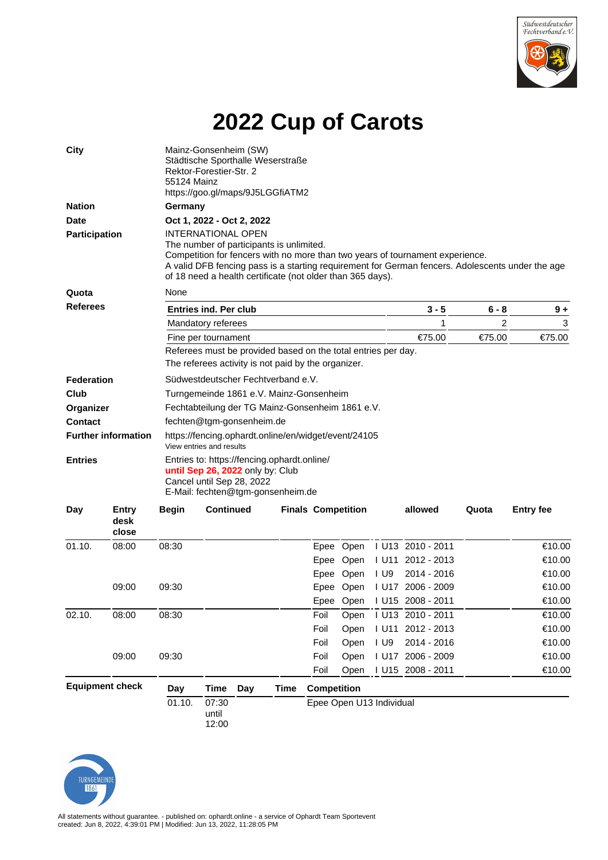

## **2022 Cup of Carots**

| <b>City</b>                |                        | Mainz-Gonsenheim (SW)<br>Städtische Sporthalle Weserstraße<br>Rektor-Forestier-Str. 2<br>55124 Mainz<br>https://goo.gl/maps/9J5LGGfiATM2                                                                                                                                                    |                                                               |     |      |                           |           |                          |                   |        |                  |  |  |  |
|----------------------------|------------------------|---------------------------------------------------------------------------------------------------------------------------------------------------------------------------------------------------------------------------------------------------------------------------------------------|---------------------------------------------------------------|-----|------|---------------------------|-----------|--------------------------|-------------------|--------|------------------|--|--|--|
| <b>Nation</b>              |                        |                                                                                                                                                                                                                                                                                             | Germany                                                       |     |      |                           |           |                          |                   |        |                  |  |  |  |
| <b>Date</b>                |                        | Oct 1, 2022 - Oct 2, 2022                                                                                                                                                                                                                                                                   |                                                               |     |      |                           |           |                          |                   |        |                  |  |  |  |
| <b>Participation</b>       |                        | <b>INTERNATIONAL OPEN</b>                                                                                                                                                                                                                                                                   |                                                               |     |      |                           |           |                          |                   |        |                  |  |  |  |
|                            |                        | The number of participants is unlimited.<br>Competition for fencers with no more than two years of tournament experience.<br>A valid DFB fencing pass is a starting requirement for German fencers. Adolescents under the age<br>of 18 need a health certificate (not older than 365 days). |                                                               |     |      |                           |           |                          |                   |        |                  |  |  |  |
| Quota                      |                        | None                                                                                                                                                                                                                                                                                        |                                                               |     |      |                           |           |                          |                   |        |                  |  |  |  |
| <b>Referees</b>            |                        | <b>Entries ind. Per club</b>                                                                                                                                                                                                                                                                |                                                               |     |      |                           |           |                          | $3 - 5$           | 6 - 8  | $9+$             |  |  |  |
|                            |                        | Mandatory referees                                                                                                                                                                                                                                                                          |                                                               |     |      |                           |           |                          | 1                 | 2      | 3                |  |  |  |
|                            |                        | Fine per tournament                                                                                                                                                                                                                                                                         |                                                               |     |      |                           |           |                          | €75.00            | €75.00 | €75.00           |  |  |  |
|                            |                        |                                                                                                                                                                                                                                                                                             | Referees must be provided based on the total entries per day. |     |      |                           |           |                          |                   |        |                  |  |  |  |
|                            |                        |                                                                                                                                                                                                                                                                                             | The referees activity is not paid by the organizer.           |     |      |                           |           |                          |                   |        |                  |  |  |  |
| Federation                 |                        | Südwestdeutscher Fechtverband e.V.                                                                                                                                                                                                                                                          |                                                               |     |      |                           |           |                          |                   |        |                  |  |  |  |
| Club                       |                        | Turngemeinde 1861 e.V. Mainz-Gonsenheim                                                                                                                                                                                                                                                     |                                                               |     |      |                           |           |                          |                   |        |                  |  |  |  |
| Organizer                  |                        | Fechtabteilung der TG Mainz-Gonsenheim 1861 e.V.                                                                                                                                                                                                                                            |                                                               |     |      |                           |           |                          |                   |        |                  |  |  |  |
| <b>Contact</b>             |                        | fechten@tgm-gonsenheim.de                                                                                                                                                                                                                                                                   |                                                               |     |      |                           |           |                          |                   |        |                  |  |  |  |
| <b>Further information</b> |                        | https://fencing.ophardt.online/en/widget/event/24105<br>View entries and results                                                                                                                                                                                                            |                                                               |     |      |                           |           |                          |                   |        |                  |  |  |  |
| <b>Entries</b>             |                        | Entries to: https://fencing.ophardt.online/<br>until Sep 26, 2022 only by: Club<br>Cancel until Sep 28, 2022<br>E-Mail: fechten@tgm-gonsenheim.de                                                                                                                                           |                                                               |     |      |                           |           |                          |                   |        |                  |  |  |  |
| Day                        | Entry<br>desk<br>close | <b>Begin</b>                                                                                                                                                                                                                                                                                | <b>Continued</b>                                              |     |      | <b>Finals Competition</b> |           |                          | allowed           | Quota  | <b>Entry fee</b> |  |  |  |
| 01.10.                     | 08:00                  | 08:30                                                                                                                                                                                                                                                                                       |                                                               |     |      |                           | Epee Open |                          | I U13 2010 - 2011 |        | €10.00           |  |  |  |
|                            |                        |                                                                                                                                                                                                                                                                                             |                                                               |     |      |                           | Epee Open |                          | I U11 2012 - 2013 |        | €10.00           |  |  |  |
|                            |                        |                                                                                                                                                                                                                                                                                             |                                                               |     |      |                           | Epee Open | I U9                     | 2014 - 2016       |        | €10.00           |  |  |  |
|                            | 09:00                  | 09:30                                                                                                                                                                                                                                                                                       |                                                               |     |      |                           | Epee Open |                          | I U17 2006 - 2009 |        | €10.00           |  |  |  |
|                            |                        |                                                                                                                                                                                                                                                                                             |                                                               |     |      |                           | Epee Open |                          | I U15 2008 - 2011 |        | €10.00           |  |  |  |
| 02.10.                     | 08:00                  | 08:30                                                                                                                                                                                                                                                                                       |                                                               |     |      | Foil                      | Open      |                          | I U13 2010 - 2011 |        | €10.00           |  |  |  |
|                            |                        |                                                                                                                                                                                                                                                                                             |                                                               |     |      | Foil                      | Open      |                          | I U11 2012 - 2013 |        | €10.00           |  |  |  |
|                            |                        |                                                                                                                                                                                                                                                                                             |                                                               |     |      | Foil                      | Open      | $I$ U9                   | 2014 - 2016       |        | €10.00           |  |  |  |
|                            | 09:00                  | 09:30                                                                                                                                                                                                                                                                                       |                                                               |     |      | Foil                      | Open      |                          | I U17 2006 - 2009 |        | €10.00           |  |  |  |
|                            |                        |                                                                                                                                                                                                                                                                                             |                                                               |     |      | Foil                      | Open      |                          | I U15 2008 - 2011 |        | €10.00           |  |  |  |
| <b>Equipment check</b>     |                        | Day                                                                                                                                                                                                                                                                                         | Time                                                          | Day | Time | <b>Competition</b>        |           |                          |                   |        |                  |  |  |  |
|                            |                        | 01.10.                                                                                                                                                                                                                                                                                      | 07:30<br>until                                                |     |      |                           |           | Epee Open U13 Individual |                   |        |                  |  |  |  |

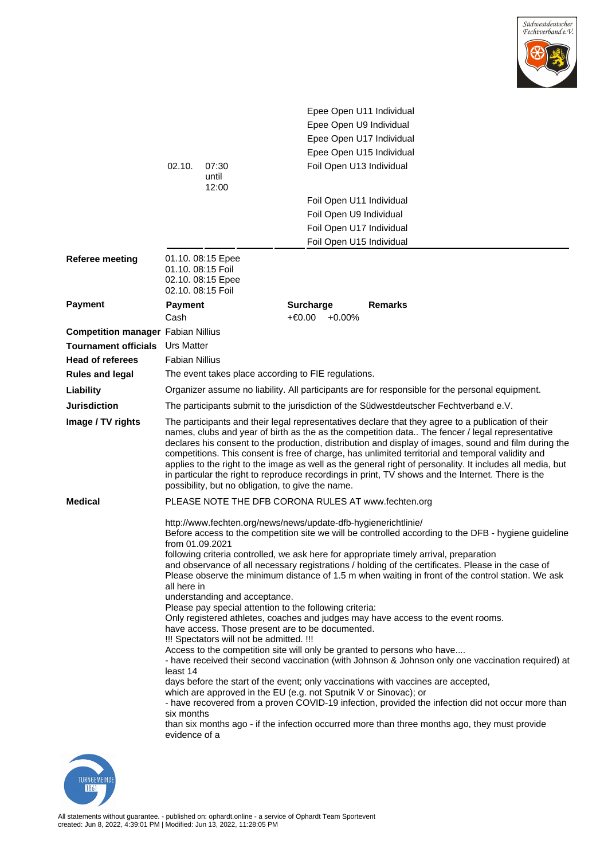

|                                           |                                                                                                                                                                                                                                                                                                                                                                                                                                                                                                                                                                                                                                                                                                                                                                                                                                                                                                                                                                                                                                                                                                                                                                                                                                                                                                                                                                                          |                         | Epee Open U11 Individual                            |                |  |  |  |  |  |
|-------------------------------------------|------------------------------------------------------------------------------------------------------------------------------------------------------------------------------------------------------------------------------------------------------------------------------------------------------------------------------------------------------------------------------------------------------------------------------------------------------------------------------------------------------------------------------------------------------------------------------------------------------------------------------------------------------------------------------------------------------------------------------------------------------------------------------------------------------------------------------------------------------------------------------------------------------------------------------------------------------------------------------------------------------------------------------------------------------------------------------------------------------------------------------------------------------------------------------------------------------------------------------------------------------------------------------------------------------------------------------------------------------------------------------------------|-------------------------|-----------------------------------------------------|----------------|--|--|--|--|--|
|                                           |                                                                                                                                                                                                                                                                                                                                                                                                                                                                                                                                                                                                                                                                                                                                                                                                                                                                                                                                                                                                                                                                                                                                                                                                                                                                                                                                                                                          |                         | Epee Open U9 Individual                             |                |  |  |  |  |  |
|                                           |                                                                                                                                                                                                                                                                                                                                                                                                                                                                                                                                                                                                                                                                                                                                                                                                                                                                                                                                                                                                                                                                                                                                                                                                                                                                                                                                                                                          |                         | Epee Open U17 Individual                            |                |  |  |  |  |  |
|                                           |                                                                                                                                                                                                                                                                                                                                                                                                                                                                                                                                                                                                                                                                                                                                                                                                                                                                                                                                                                                                                                                                                                                                                                                                                                                                                                                                                                                          |                         | Epee Open U15 Individual                            |                |  |  |  |  |  |
|                                           | 02.10.                                                                                                                                                                                                                                                                                                                                                                                                                                                                                                                                                                                                                                                                                                                                                                                                                                                                                                                                                                                                                                                                                                                                                                                                                                                                                                                                                                                   | 07:30<br>until<br>12:00 | Foil Open U13 Individual                            |                |  |  |  |  |  |
|                                           |                                                                                                                                                                                                                                                                                                                                                                                                                                                                                                                                                                                                                                                                                                                                                                                                                                                                                                                                                                                                                                                                                                                                                                                                                                                                                                                                                                                          |                         | Foil Open U11 Individual                            |                |  |  |  |  |  |
|                                           |                                                                                                                                                                                                                                                                                                                                                                                                                                                                                                                                                                                                                                                                                                                                                                                                                                                                                                                                                                                                                                                                                                                                                                                                                                                                                                                                                                                          |                         | Foil Open U9 Individual<br>Foil Open U17 Individual |                |  |  |  |  |  |
|                                           |                                                                                                                                                                                                                                                                                                                                                                                                                                                                                                                                                                                                                                                                                                                                                                                                                                                                                                                                                                                                                                                                                                                                                                                                                                                                                                                                                                                          |                         |                                                     |                |  |  |  |  |  |
|                                           |                                                                                                                                                                                                                                                                                                                                                                                                                                                                                                                                                                                                                                                                                                                                                                                                                                                                                                                                                                                                                                                                                                                                                                                                                                                                                                                                                                                          |                         | Foil Open U15 Individual                            |                |  |  |  |  |  |
| <b>Referee meeting</b>                    | 01.10. 08:15 Epee<br>01.10. 08:15 Foil<br>02.10. 08:15 Epee<br>02.10. 08:15 Foil                                                                                                                                                                                                                                                                                                                                                                                                                                                                                                                                                                                                                                                                                                                                                                                                                                                                                                                                                                                                                                                                                                                                                                                                                                                                                                         |                         |                                                     |                |  |  |  |  |  |
| <b>Payment</b>                            | <b>Payment</b><br>Cash                                                                                                                                                                                                                                                                                                                                                                                                                                                                                                                                                                                                                                                                                                                                                                                                                                                                                                                                                                                                                                                                                                                                                                                                                                                                                                                                                                   |                         | <b>Surcharge</b><br>+€0.00<br>$+0.00\%$             | <b>Remarks</b> |  |  |  |  |  |
| <b>Competition manager Fabian Nillius</b> |                                                                                                                                                                                                                                                                                                                                                                                                                                                                                                                                                                                                                                                                                                                                                                                                                                                                                                                                                                                                                                                                                                                                                                                                                                                                                                                                                                                          |                         |                                                     |                |  |  |  |  |  |
| <b>Tournament officials</b>               | <b>Urs Matter</b>                                                                                                                                                                                                                                                                                                                                                                                                                                                                                                                                                                                                                                                                                                                                                                                                                                                                                                                                                                                                                                                                                                                                                                                                                                                                                                                                                                        |                         |                                                     |                |  |  |  |  |  |
| <b>Head of referees</b>                   | <b>Fabian Nillius</b>                                                                                                                                                                                                                                                                                                                                                                                                                                                                                                                                                                                                                                                                                                                                                                                                                                                                                                                                                                                                                                                                                                                                                                                                                                                                                                                                                                    |                         |                                                     |                |  |  |  |  |  |
| <b>Rules and legal</b>                    | The event takes place according to FIE regulations.                                                                                                                                                                                                                                                                                                                                                                                                                                                                                                                                                                                                                                                                                                                                                                                                                                                                                                                                                                                                                                                                                                                                                                                                                                                                                                                                      |                         |                                                     |                |  |  |  |  |  |
| Liability                                 | Organizer assume no liability. All participants are for responsible for the personal equipment.                                                                                                                                                                                                                                                                                                                                                                                                                                                                                                                                                                                                                                                                                                                                                                                                                                                                                                                                                                                                                                                                                                                                                                                                                                                                                          |                         |                                                     |                |  |  |  |  |  |
| <b>Jurisdiction</b>                       | The participants submit to the jurisdiction of the Südwestdeutscher Fechtverband e.V.                                                                                                                                                                                                                                                                                                                                                                                                                                                                                                                                                                                                                                                                                                                                                                                                                                                                                                                                                                                                                                                                                                                                                                                                                                                                                                    |                         |                                                     |                |  |  |  |  |  |
| Image / TV rights                         | The participants and their legal representatives declare that they agree to a publication of their<br>names, clubs and year of birth as the as the competition data The fencer / legal representative<br>declares his consent to the production, distribution and display of images, sound and film during the<br>competitions. This consent is free of charge, has unlimited territorial and temporal validity and<br>applies to the right to the image as well as the general right of personality. It includes all media, but<br>in particular the right to reproduce recordings in print, TV shows and the Internet. There is the<br>possibility, but no obligation, to give the name.                                                                                                                                                                                                                                                                                                                                                                                                                                                                                                                                                                                                                                                                                               |                         |                                                     |                |  |  |  |  |  |
| <b>Medical</b>                            |                                                                                                                                                                                                                                                                                                                                                                                                                                                                                                                                                                                                                                                                                                                                                                                                                                                                                                                                                                                                                                                                                                                                                                                                                                                                                                                                                                                          |                         | PLEASE NOTE THE DFB CORONA RULES AT www.fechten.org |                |  |  |  |  |  |
|                                           | http://www.fechten.org/news/news/update-dfb-hygienerichtlinie/<br>Before access to the competition site we will be controlled according to the DFB - hygiene guideline<br>from 01.09.2021<br>following criteria controlled, we ask here for appropriate timely arrival, preparation<br>and observance of all necessary registrations / holding of the certificates. Please in the case of<br>Please observe the minimum distance of 1.5 m when waiting in front of the control station. We ask<br>all here in<br>understanding and acceptance.<br>Please pay special attention to the following criteria:<br>Only registered athletes, coaches and judges may have access to the event rooms.<br>have access. Those present are to be documented.<br>!!! Spectators will not be admitted. !!!<br>Access to the competition site will only be granted to persons who have<br>- have received their second vaccination (with Johnson & Johnson only one vaccination required) at<br>least 14<br>days before the start of the event; only vaccinations with vaccines are accepted,<br>which are approved in the EU (e.g. not Sputnik V or Sinovac); or<br>- have recovered from a proven COVID-19 infection, provided the infection did not occur more than<br>six months<br>than six months ago - if the infection occurred more than three months ago, they must provide<br>evidence of a |                         |                                                     |                |  |  |  |  |  |